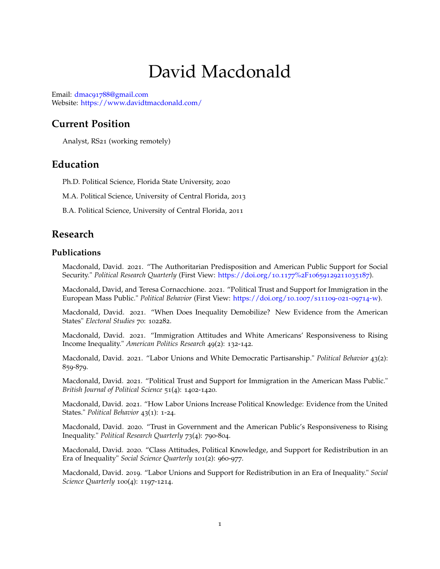# David Macdonald

Email: dmac91788[@gmail.com](mailto:dmac91788@gmail.com) Website: <https://www.davidtmacdonald.com/>

## **Current Position**

Analyst, RS21 (working remotely)

### **Education**

Ph.D. Political Science, Florida State University, 2020

M.A. Political Science, University of Central Florida, 2013

B.A. Political Science, University of Central Florida, 2011

## **Research**

#### **Publications**

Macdonald, David. 2021. "The Authoritarian Predisposition and American Public Support for Social Security." *Political Research Quarterly* (First View: [https://doi.org/](https://doi.org/10.1177%2F10659129211035187)10.1177%2F10659129211035187).

Macdonald, David, and Teresa Cornacchione. 2021. "Political Trust and Support for Immigration in the European Mass Public." *Political Behavior* (First View: [https://doi.org/](https://doi.org/10.1007/s11109-021-09714-w)10.1007/s11109-021-09714-w).

Macdonald, David. 2021. "When Does Inequality Demobilize? New Evidence from the American States" *Electoral Studies* 70: 102282.

Macdonald, David. 2021. "Immigration Attitudes and White Americans' Responsiveness to Rising Income Inequality." *American Politics Research* 49(2): 132-142.

Macdonald, David. 2021. "Labor Unions and White Democratic Partisanship." *Political Behavior* 43(2): 859-879.

Macdonald, David. 2021. "Political Trust and Support for Immigration in the American Mass Public." *British Journal of Political Science* 51(4): 1402-1420.

Macdonald, David. 2021. "How Labor Unions Increase Political Knowledge: Evidence from the United States." *Political Behavior* 43(1): 1-24.

Macdonald, David. 2020. "Trust in Government and the American Public's Responsiveness to Rising Inequality." *Political Research Quarterly* 73(4): 790-804.

Macdonald, David. 2020. "Class Attitudes, Political Knowledge, and Support for Redistribution in an Era of Inequality" *Social Science Quarterly* 101(2): 960-977.

Macdonald, David. 2019. "Labor Unions and Support for Redistribution in an Era of Inequality." *Social Science Quarterly* 100(4): 1197-1214.